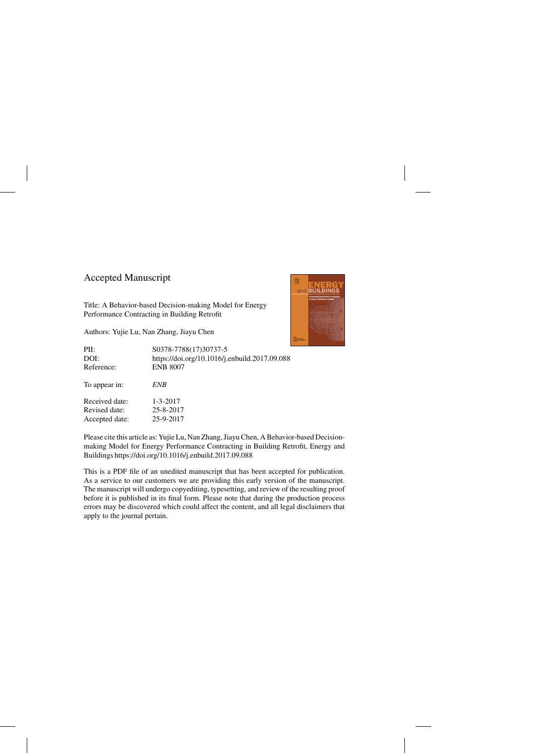#### Accepted Manuscript

Title: A Behavior-based Decision-making Model for Energy Performance Contracting in Building Retrofit

Authors: Yujie Lu, Nan Zhang, Jiayu Chen



| PII:           | S0378-7788(17)30737-5                         |
|----------------|-----------------------------------------------|
| DOI:           | https://doi.org/10.1016/j.enbuild.2017.09.088 |
| Reference:     | <b>ENB 8007</b>                               |
| To appear in:  | ENB                                           |
| Received date: | $1 - 3 - 2017$                                |
| Revised date:  | 25-8-2017                                     |
| Accepted date: | 25-9-2017                                     |

Please cite this article as: Yujie Lu, Nan Zhang, Jiayu Chen, A Behavior-based Decisionmaking Model for Energy Performance Contracting in Building Retrofit, Energy and Buildings<https://doi.org/10.1016/j.enbuild.2017.09.088>

This is a PDF file of an unedited manuscript that has been accepted for publication. As a service to our customers we are providing this early version of the manuscript. The manuscript will undergo copyediting, typesetting, and review of the resulting proof before it is published in its final form. Please note that during the production process errors may be discovered which could affect the content, and all legal disclaimers that apply to the journal pertain.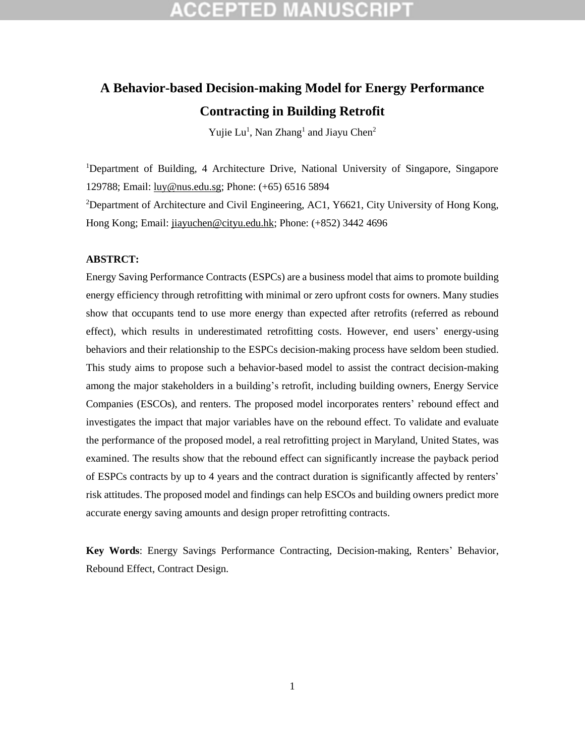## **CCEPTED MANUSCRIP**

### **A Behavior-based Decision-making Model for Energy Performance Contracting in Building Retrofit**

Yujie Lu<sup>1</sup>, Nan Zhang<sup>1</sup> and Jiayu Chen<sup>2</sup>

<sup>1</sup>Department of Building, 4 Architecture Drive, National University of Singapore, Singapore 129788; Email: [luy@nus.edu.sg;](mailto:luy@nus.edu.sg) Phone: (+65) 6516 5894

<sup>2</sup>Department of Architecture and Civil Engineering, AC1, Y6621, City University of Hong Kong, Hong Kong; Email: [jiayuchen@cityu.edu.hk;](mailto:jiayuchen@cityu.edu.hk) Phone: (+852) 3442 4696

#### **ABSTRCT:**

Energy Saving Performance Contracts (ESPCs) are a business model that aims to promote building energy efficiency through retrofitting with minimal or zero upfront costs for owners. Many studies show that occupants tend to use more energy than expected after retrofits (referred as rebound effect), which results in underestimated retrofitting costs. However, end users' energy-using behaviors and their relationship to the ESPCs decision-making process have seldom been studied. This study aims to propose such a behavior-based model to assist the contract decision-making among the major stakeholders in a building's retrofit, including building owners, Energy Service Companies (ESCOs), and renters. The proposed model incorporates renters' rebound effect and investigates the impact that major variables have on the rebound effect. To validate and evaluate the performance of the proposed model, a real retrofitting project in Maryland, United States, was examined. The results show that the rebound effect can significantly increase the payback period of ESPCs contracts by up to 4 years and the contract duration is significantly affected by renters' risk attitudes. The proposed model and findings can help ESCOs and building owners predict more accurate energy saving amounts and design proper retrofitting contracts.

**Key Words**: Energy Savings Performance Contracting, Decision-making, Renters' Behavior, Rebound Effect, Contract Design.